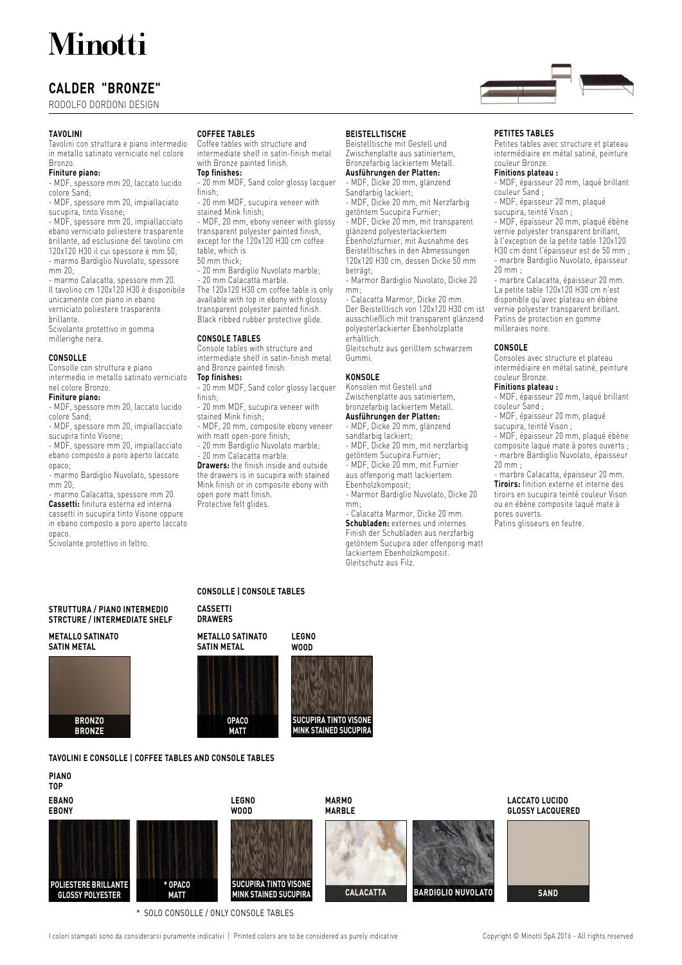## **Minotti**

### **CALDER "BRONZE"**

RODOLFO DORDONI DESIGN

#### **TAVOLINI**

Tavolini con struttura e piano intermedio in metallo satinato verniciato nel colore Bronzo.

#### **Finiture piano:**

- MDF, spessore mm 20, laccato lucido colore Sand;

- MDF, spessore mm 20, impiallaciato sucupira, tinto Visone;

- MDF, spessore mm 20, impiallacciato ebano verniciato poliestere trasparente brillante, ad esclusione del tavolino cm 120x120 H30 il cui spessore è mm 50; - marmo Bardiglio Nuvolato, spessore mm 20;

- marmo Calacatta, spessore mm 20. Il tavolino cm 120x120 H30 è disponibile unicamente con piano in ebano verniciato poliestere trasparente brillante. Scivolante protettivo in gomma millerighe nera.

#### **CONSOLLE**

Consolle con struttura e piano intermedio in metallo satinato verniciato nel colore Bronzo.

#### **Finiture piano:**

- MDF, spessore mm 20, laccato lucido

colore Sand; - MDF, spessore mm 20, impiallacciato

sucupira tinto Visone;

- MDF, spessore mm 20, impiallacciato ebano composto a poro aperto laccato opaco;

- marmo Bardiglio Nuvolato, spessore mm 20;

- marmo Calacatta, spessore mm 20. **Cassetti:** finitura esterna ed interna cassetti in sucupira tinto Visone oppure in ebano composto a poro aperto laccato opaco.

Scivolante protettivo in feltro.

#### **COFFEE TABLES**

Coffee tables with structure and intermediate shelf in satin-finish metal with Bronze painted finish.

**Top finishes:**

- 20 mm MDF, Sand color glossy lacquer finish;

- 20 mm MDF, sucupira veneer with stained Mink finish;

- MDF, 20 mm, ebony veneer with glossy transparent polyester painted finish, except for the 120x120 H30 cm coffee table, which is

#### 50 mm thick;

20 mm Bardiglio Nuvolato marble; 20 mm Calacatta marble. The 120x120 H30 cm coffee table is only available with top in ebony with glossy transparent polyester painted finish. Black ribbed rubber protective glide.

#### **CONSOLE TABLES**

Console tables with structure and intermediate shelf in satin-finish metal and Bronze painted finish.

#### **Top finishes:**

20 mm MDF, Sand color glossy lacquer finish;

- 20 mm MDF, sucupira veneer with stained Mink finish;

- MDF, 20 mm, composite ebony veneer with matt open-pore finish;

20 mm Bardiglio Nuvolato marble;

20 mm Calacatta marble. **Drawers:** the finish inside and outside the drawers is in sucupira with stained

Mink finish or in composite ebony with open pore matt finish. Protective felt glides.

#### **BEISTELLTISCHE**

Beistelltische mit Gestell und Zwischenplatte aus satiniertem, Bronzefarbig lackiertem Metall. **Ausführungen der Platten:**

- MDF, Dicke 20 mm, glänzend Sandfarbig lackiert;

- MDF, Dicke 20 mm, mit Nerzfarbig getöntem Sucupira Furnier;

- MDF, Dicke 20 mm, mit transparent glänzend polyesterlackiertem Ebenholzfurnier, mit Ausnahme des

Beistelltisches in den Abmessungen 120x120 H30 cm, dessen Dicke 50 mm beträgt;

- Marmor Bardiglio Nuvolato, Dicke 20 mm;

- Calacatta Marmor, Dicke 20 mm. Der Beistelltisch von 120x120 H30 cm ist ausschließlich mit transparent glänzend polyesterlackierter Ebenholzplatte erhältlich.

Gleitschutz aus gerilltem schwarzem Gummi.

#### **KONSOLE**

Konsolen mit Gestell und Zwischenplatte aus satiniertem, bronzefarbig lackiertem Metall. **Ausführungen der Platten:**

- MDF, Dicke 20 mm, glänzend sandfarbig lackiert;

- MDF, Dicke 20 mm, mit nerzfarbig getöntem Sucupira Furnier;

- MDF, Dicke 20 mm, mit Furnier

aus offenporig matt lackiertem Ebenholzkomposit;

- Marmor Bardiglio Nuvolato, Dicke 20 mm;

- Calacatta Marmor, Dicke 20 mm. **Schubladen:** externes und internes Finish der Schubladen aus nerzfarbig getöntem Sucupira oder offenporig matt lackiertem Ebenholzkomposit. Gleitschutz aus Filz.

#### **PETITES TABLES**

Petites tables avec structure et plateau intermédiaire en métal satiné, peinture couleur Bronze.

#### **Finitions plateau :**

- MDF, épaisseur 20 mm, laqué brillant couleur Sand ;

- MDF, épaisseur 20 mm, plaqué sucupira, teinté Vison ;

- MDF, épaisseur 20 mm, plaqué ébène vernie polyester transparent brillant, à l'exception de la petite table 120x120 H30 cm dont l'épaisseur est de 50 mm ; - marbre Bardiglio Nuvolato, épaisseur 20 mm ;

- marbre Calacatta, épaisseur 20 mm. La petite table 120x120 H30 cm n'est disponible qu'avec plateau en ébène vernie polyester transparent brillant. Patins de protection en gomme milleraies noire.

#### **CONSOLE**

Consoles avec structure et plateau intermédiaire en métal satiné, peinture couleur Bronze.

**Finitions plateau :** - MDF, épaisseur 20 mm, laqué brillant couleur Sand ;

- MDF, épaisseur 20 mm, plaqué

sucupira, teinté Vison ; - MDF, épaisseur 20 mm, plaqué ébène composite laqué mate à pores ouverts ; - marbre Bardiglio Nuvolato, épaisseur 20 mm ;

- marbre Calacatta, épaisseur 20 mm. **Tiroirs:** finition externe et interne des tiroirs en sucupira teinté couleur Vison ou en ébène composite laqué mate à

pores ouverts.

Patins glisseurs en feutre.

#### **STRUTTURA / PIANO INTERMEDIO STRCTURE / INTERMEDIATE SHELF**

**METALLO SATINATO SATIN METAL**



#### **CONSOLLE | CONSOLE TABLES**

**CASSETTI DRAWERS**

> **OPACO MATT**

#### **METALLO SATINATO**

**SATIN METAL**

# **SUCUPIRA TINTO VISONE MINK STAINED SUCUPIRA**



**TAVOLINI E CONSOLLE | COFFEE TABLES AND CONSOLE TABLES**



\* SOLO CONSOLLE / ONLY CONSOLE TABLES

I colori stampati sono da considerarsi puramente indicativi | Printed colors are to be considered as purely indicative Copyright © Minotti SpA 2016 - All rights reserved



### **LEGNO WOOD**





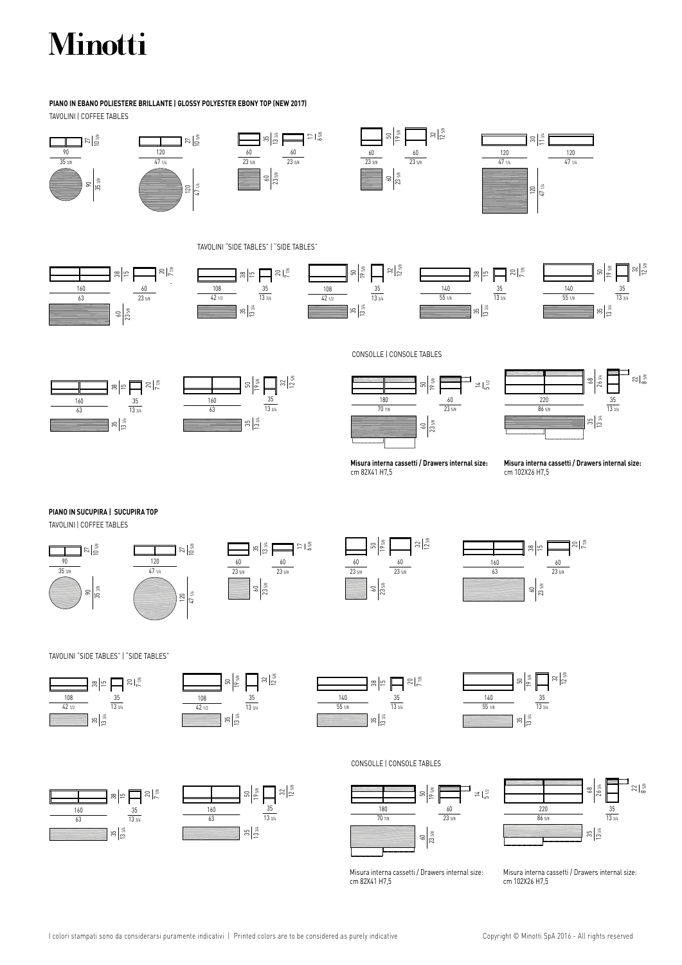# Minotti

#### TAVOLINI | COFFEE TABLES **PIANO IN EBANO POLIESTERE BRILLANTE | GLOSSY POLYESTER EBONY TOP (NEW 2017)**











TAVOLINI "SIDE TABLES" | "SIDE TABLES"











 3/4  $\frac{2}{8}$ 

CONSOLLE | CONSOLE TABLES







 $\frac{35}{24}$  86 5/8  $\frac{35}{1334}$ 

**Misura interna cassetti / Drawers internal size:** cm 82X41 H7,5

**Misura interna cassetti / Drawers internal size:** cm 102X26 H7,5

### **PIANO IN SUCUPIRA | SUCUPIRA TOP**

TAVOLINI | COFFEE TABLES











TAVOLINI "SIDE TABLES" | "SIDE TABLES"



 







CONSOLLE | CONSOLE TABLES



Misura interna cassetti / Drawers internal size: cm 82X41 H7,5

 $\frac{2}{8}$  3/4  $\frac{35}{134}$  86 5/8  $\frac{35}{1334}$ 

Misura interna cassetti / Drawers internal size: cm 102X26 H7,5